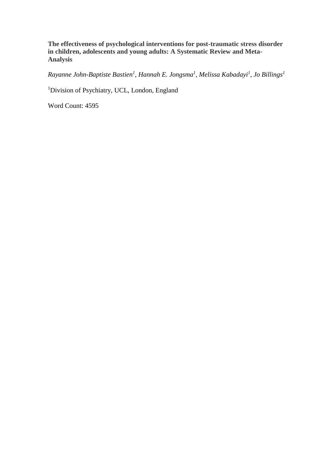**The effectiveness of psychological interventions for post-traumatic stress disorder in children, adolescents and young adults: A Systematic Review and Meta-Analysis**

*Rayanne John-Baptiste Bastien<sup>1</sup> , Hannah E. Jongsma<sup>1</sup> , Melissa Kabadayi<sup>1</sup> , Jo Billings<sup>1</sup>*

<sup>1</sup>Division of Psychiatry, UCL, London, England

Word Count: 4595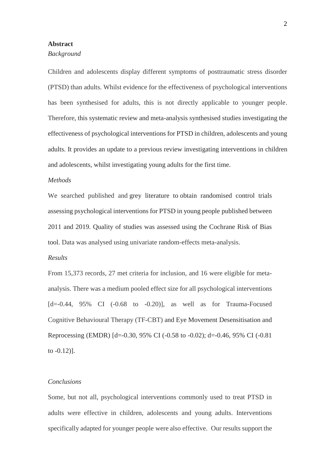#### **Abstract**

#### *Background*

Children and adolescents display different symptoms of posttraumatic stress disorder (PTSD) than adults. Whilst evidence for the effectiveness of psychological interventions has been synthesised for adults, this is not directly applicable to younger people. Therefore, this systematic review and meta-analysis synthesised studies investigating the effectiveness of psychological interventions for PTSD in children, adolescents and young adults. It provides an update to a previous review investigating interventions in children and adolescents, whilst investigating young adults for the first time.

### *Methods*

We searched published and grey literature to obtain randomised control trials assessing psychological interventions for PTSD in young people published between 2011 and 2019. Quality of studies was assessed using the Cochrane Risk of Bias tool. Data was analysed using univariate random-effects meta-analysis.

# *Results*

From 15,373 records, 27 met criteria for inclusion, and 16 were eligible for metaanalysis. There was a medium pooled effect size for all psychological interventions  $[d=0.44, 95\% \text{ CI } (-0.68 \text{ to } -0.20)]$ , as well as for Trauma-Focused Cognitive Behavioural Therapy (TF-CBT) and Eye Movement Desensitisation and Reprocessing (EMDR) [d=-0.30, 95% CI (-0.58 to -0.02); d=-0.46, 95% CI (-0.81 to  $-0.12$ ].

### *Conclusions*

Some, but not all, psychological interventions commonly used to treat PTSD in adults were effective in children, adolescents and young adults. Interventions specifically adapted for younger people were also effective. Our results support the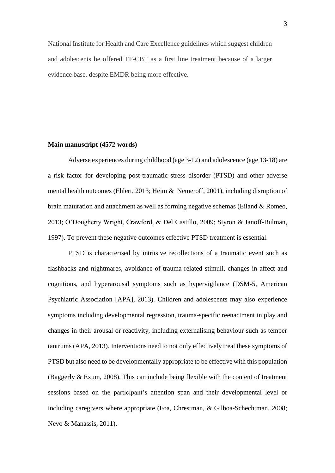National Institute for Health and Care Excellence guidelines which suggest children and adolescents be offered TF-CBT as a first line treatment because of a larger evidence base, despite EMDR being more effective.

### **Main manuscript (4572 words)**

Adverse experiences during childhood (age 3-12) and adolescence (age 13-18) are a risk factor for developing post-traumatic stress disorder (PTSD) and other adverse mental health outcomes (Ehlert, 2013; Heim & Nemeroff, 2001), including disruption of brain maturation and attachment as well as forming negative schemas (Eiland & Romeo, 2013; O'Dougherty Wright, Crawford, & Del Castillo, 2009; Styron & Janoff-Bulman, 1997). To prevent these negative outcomes effective PTSD treatment is essential.

PTSD is characterised by intrusive recollections of a traumatic event such as flashbacks and nightmares, avoidance of trauma-related stimuli, changes in affect and cognitions, and hyperarousal symptoms such as hypervigilance (DSM-5, American Psychiatric Association [APA], 2013). Children and adolescents may also experience symptoms including developmental regression, trauma-specific reenactment in play and changes in their arousal or reactivity, including externalising behaviour such as temper tantrums (APA, 2013). Interventions need to not only effectively treat these symptoms of PTSD but also need to be developmentally appropriate to be effective with this population (Baggerly & Exum, 2008). This can include being flexible with the content of treatment sessions based on the participant's attention span and their developmental level or including caregivers where appropriate (Foa, Chrestman, & Gilboa-Schechtman, 2008; Nevo & Manassis, 2011).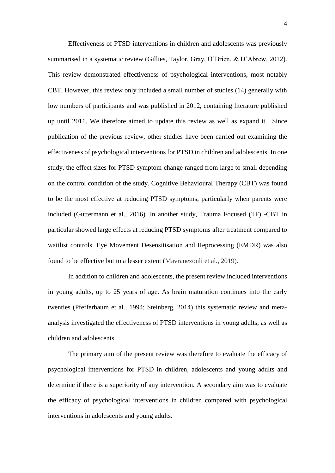Effectiveness of PTSD interventions in children and adolescents was previously summarised in a systematic review (Gillies, Taylor, Gray, O'Brien, & D'Abrew, 2012). This review demonstrated effectiveness of psychological interventions, most notably CBT. However, this review only included a small number of studies (14) generally with low numbers of participants and was published in 2012, containing literature published up until 2011. We therefore aimed to update this review as well as expand it. Since publication of the previous review, other studies have been carried out examining the effectiveness of psychological interventions for PTSD in children and adolescents. In one study, the effect sizes for PTSD symptom change ranged from large to small depending on the control condition of the study. Cognitive Behavioural Therapy (CBT) was found to be the most effective at reducing PTSD symptoms, particularly when parents were included (Guttermann et al., 2016). In another study, Trauma Focused (TF) -CBT in particular showed large effects at reducing PTSD symptoms after treatment compared to waitlist controls. Eye Movement Desensitisation and Reprocessing (EMDR) was also found to be effective but to a lesser extent (Mavranezouli et al., 2019).

In addition to children and adolescents, the present review included interventions in young adults, up to 25 years of age. As brain maturation continues into the early twenties (Pfefferbaum et al., 1994; Steinberg, 2014) this systematic review and metaanalysis investigated the effectiveness of PTSD interventions in young adults, as well as children and adolescents.

The primary aim of the present review was therefore to evaluate the efficacy of psychological interventions for PTSD in children, adolescents and young adults and determine if there is a superiority of any intervention. A secondary aim was to evaluate the efficacy of psychological interventions in children compared with psychological interventions in adolescents and young adults.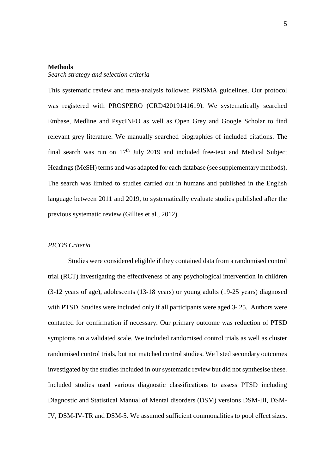#### **Methods**

#### *Search strategy and selection criteria*

This systematic review and meta-analysis followed PRISMA guidelines. Our protocol was registered with PROSPERO (CRD42019141619). We systematically searched Embase, Medline and PsycINFO as well as Open Grey and Google Scholar to find relevant grey literature. We manually searched biographies of included citations. The final search was run on  $17<sup>th</sup>$  July 2019 and included free-text and Medical Subject Headings (MeSH) terms and was adapted for each database (see supplementary methods). The search was limited to studies carried out in humans and published in the English language between 2011 and 2019, to systematically evaluate studies published after the previous systematic review (Gillies et al., 2012).

### *PICOS Criteria*

Studies were considered eligible if they contained data from a randomised control trial (RCT) investigating the effectiveness of any psychological intervention in children (3-12 years of age), adolescents (13-18 years) or young adults (19-25 years) diagnosed with PTSD. Studies were included only if all participants were aged 3-25. Authors were contacted for confirmation if necessary. Our primary outcome was reduction of PTSD symptoms on a validated scale. We included randomised control trials as well as cluster randomised control trials, but not matched control studies. We listed secondary outcomes investigated by the studies included in our systematic review but did not synthesise these. Included studies used various diagnostic classifications to assess PTSD including Diagnostic and Statistical Manual of Mental disorders (DSM) versions DSM-III, DSM-IV, DSM-IV-TR and DSM-5. We assumed sufficient commonalities to pool effect sizes.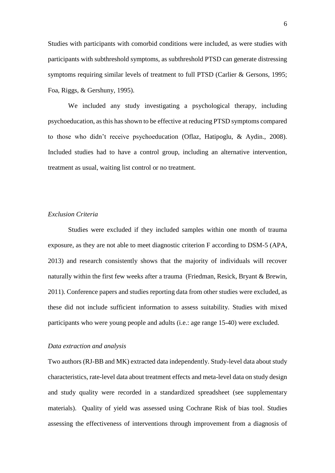Studies with participants with comorbid conditions were included, as were studies with participants with subthreshold symptoms, as subthreshold PTSD can generate distressing symptoms requiring similar levels of treatment to full PTSD (Carlier & Gersons, 1995; Foa, Riggs, & Gershuny, 1995).

We included any study investigating a psychological therapy, including psychoeducation, as this has shown to be effective at reducing PTSD symptoms compared to those who didn't receive psychoeducation (Oflaz, Hatipoglu, & Aydin., 2008). Included studies had to have a control group, including an alternative intervention, treatment as usual, waiting list control or no treatment.

### *Exclusion Criteria*

Studies were excluded if they included samples within one month of trauma exposure, as they are not able to meet diagnostic criterion F according to DSM-5 (APA, 2013) and research consistently shows that the majority of individuals will recover naturally within the first few weeks after a trauma (Friedman, Resick, Bryant & Brewin, 2011). Conference papers and studies reporting data from other studies were excluded, as these did not include sufficient information to assess suitability. Studies with mixed participants who were young people and adults (i.e.: age range 15-40) were excluded.

### *Data extraction and analysis*

Two authors (RJ-BB and MK) extracted data independently. Study-level data about study characteristics, rate-level data about treatment effects and meta-level data on study design and study quality were recorded in a standardized spreadsheet (see supplementary materials). Quality of yield was assessed using Cochrane Risk of bias tool. Studies assessing the effectiveness of interventions through improvement from a diagnosis of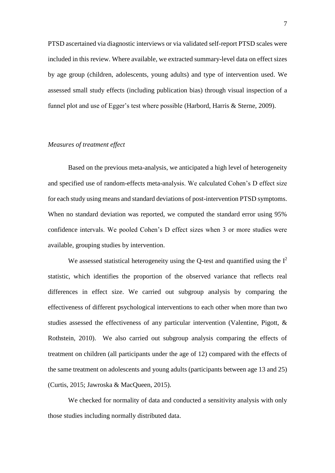PTSD ascertained via diagnostic interviews or via validated self-report PTSD scales were included in this review. Where available, we extracted summary-level data on effect sizes by age group (children, adolescents, young adults) and type of intervention used. We assessed small study effects (including publication bias) through visual inspection of a funnel plot and use of Egger's test where possible (Harbord, Harris & Sterne, 2009).

# *Measures of treatment effect*

Based on the previous meta-analysis, we anticipated a high level of heterogeneity and specified use of random-effects meta-analysis. We calculated Cohen's D effect size for each study using means and standard deviations of post-intervention PTSD symptoms. When no standard deviation was reported, we computed the standard error using 95% confidence intervals. We pooled Cohen's D effect sizes when 3 or more studies were available, grouping studies by intervention.

We assessed statistical heterogeneity using the Q-test and quantified using the  $I^2$ statistic, which identifies the proportion of the observed variance that reflects real differences in effect size. We carried out subgroup analysis by comparing the effectiveness of different psychological interventions to each other when more than two studies assessed the effectiveness of any particular intervention (Valentine, Pigott, & Rothstein, 2010). We also carried out subgroup analysis comparing the effects of treatment on children (all participants under the age of 12) compared with the effects of the same treatment on adolescents and young adults (participants between age 13 and 25) (Curtis, 2015; Jawroska & MacQueen, 2015).

We checked for normality of data and conducted a sensitivity analysis with only those studies including normally distributed data.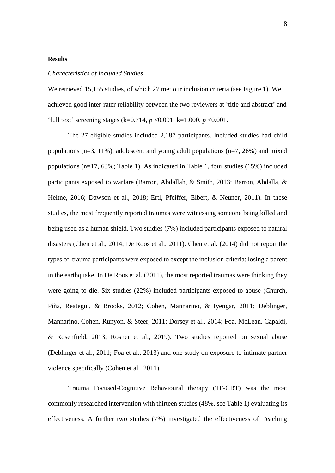### **Results**

#### *Characteristics of Included Studies*

We retrieved 15,155 studies, of which 27 met our inclusion criteria (see Figure 1). We achieved good inter-rater reliability between the two reviewers at 'title and abstract' and 'full text' screening stages (k=0.714, *p* <0.001; k=1.000, *p* <0.001.

The 27 eligible studies included 2,187 participants. Included studies had child populations ( $n=3$ , 11%), adolescent and young adult populations ( $n=7$ , 26%) and mixed populations (n=17, 63%; Table 1). As indicated in Table 1, four studies (15%) included participants exposed to warfare (Barron, Abdallah, & Smith, 2013; Barron, Abdalla, & Heltne, 2016; Dawson et al., 2018; Ertl, Pfeiffer, Elbert, & Neuner, 2011). In these studies, the most frequently reported traumas were witnessing someone being killed and being used as a human shield. Two studies (7%) included participants exposed to natural disasters (Chen et al., 2014; De Roos et al., 2011). Chen et al. (2014) did not report the types of trauma participants were exposed to except the inclusion criteria: losing a parent in the earthquake. In De Roos et al. (2011), the most reported traumas were thinking they were going to die. Six studies (22%) included participants exposed to abuse (Church, Piña, Reategui, & Brooks, 2012; Cohen, Mannarino, & Iyengar, 2011; Deblinger, Mannarino, Cohen, Runyon, & Steer, 2011; Dorsey et al., 2014; Foa, McLean, Capaldi, & Rosenfield, 2013; Rosner et al., 2019). Two studies reported on sexual abuse (Deblinger et al., 2011; Foa et al., 2013) and one study on exposure to intimate partner violence specifically (Cohen et al., 2011).

Trauma Focused-Cognitive Behavioural therapy (TF-CBT) was the most commonly researched intervention with thirteen studies (48%, see Table 1) evaluating its effectiveness. A further two studies (7%) investigated the effectiveness of Teaching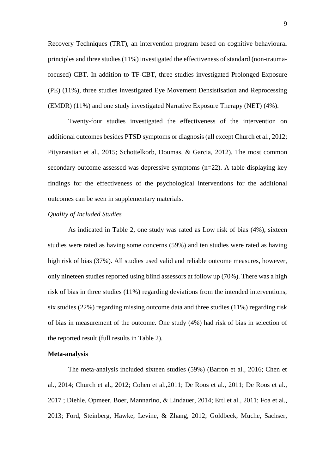Recovery Techniques (TRT), an intervention program based on cognitive behavioural principles and three studies (11%) investigated the effectiveness of standard (non-traumafocused) CBT. In addition to TF-CBT, three studies investigated Prolonged Exposure (PE) (11%), three studies investigated Eye Movement Densistisation and Reprocessing (EMDR) (11%) and one study investigated Narrative Exposure Therapy (NET) (4%).

Twenty-four studies investigated the effectiveness of the intervention on additional outcomes besides PTSD symptoms or diagnosis (all except Church et al., 2012; Pityaratstian et al., 2015; Schottelkorb, Doumas, & Garcia, 2012). The most common secondary outcome assessed was depressive symptoms (n=22). A table displaying key findings for the effectiveness of the psychological interventions for the additional outcomes can be seen in supplementary materials.

## *Quality of Included Studies*

As indicated in Table 2, one study was rated as Low risk of bias (4%), sixteen studies were rated as having some concerns (59%) and ten studies were rated as having high risk of bias (37%). All studies used valid and reliable outcome measures, however, only nineteen studies reported using blind assessors at follow up (70%). There was a high risk of bias in three studies (11%) regarding deviations from the intended interventions, six studies (22%) regarding missing outcome data and three studies (11%) regarding risk of bias in measurement of the outcome. One study (4%) had risk of bias in selection of the reported result (full results in Table 2).

## **Meta-analysis**

The meta-analysis included sixteen studies (59%) (Barron et al., 2016; Chen et al., 2014; Church et al., 2012; Cohen et al.,2011; De Roos et al., 2011; De Roos et al., 2017 ; Diehle, Opmeer, Boer, Mannarino, & Lindauer, 2014; Ertl et al., 2011; Foa et al., 2013; Ford, Steinberg, Hawke, Levine, & Zhang, 2012; Goldbeck, Muche, Sachser,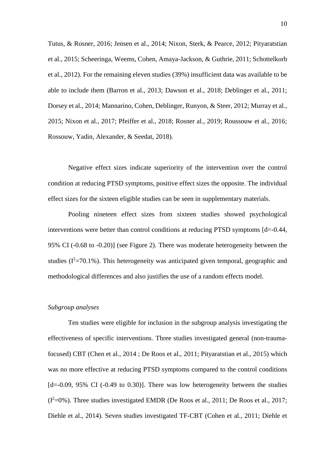Tutus, & Rosner, 2016; Jensen et al., 2014; Nixon, Sterk, & Pearce, 2012; Pityaratstian et al., 2015; Scheeringa, Weems, Cohen, Amaya-Jackson, & Guthrie, 2011; Schottelkorb et al., 2012). For the remaining eleven studies (39%) insufficient data was available to be able to include them (Barron et al., 2013; Dawson et al., 2018; Deblinger et al., 2011; Dorsey et al., 2014; Mannarino, Cohen, Deblinger, Runyon, & Steer, 2012; Murray et al., 2015; Nixon et al., 2017; Pfeiffer et al., 2018; Rosner al., 2019; Roussouw et al., 2016; Rossouw, Yadin, Alexander, & Seedat, 2018).

Negative effect sizes indicate superiority of the intervention over the control condition at reducing PTSD symptoms, positive effect sizes the opposite. The individual effect sizes for the sixteen eligible studies can be seen in supplementary materials.

Pooling nineteen effect sizes from sixteen studies showed psychological interventions were better than control conditions at reducing PTSD symptoms  $[d=0.44]$ , 95% CI (-0.68 to -0.20)] (see Figure 2). There was moderate heterogeneity between the studies  $(I^2=70.1\%)$ . This heterogeneity was anticipated given temporal, geographic and methodological differences and also justifies the use of a random effects model.

### *Subgroup analyses*

Ten studies were eligible for inclusion in the subgroup analysis investigating the effectiveness of specific interventions. Three studies investigated general (non-traumafocused) CBT (Chen et al., 2014 ; De Roos et al., 2011; Pityaratstian et al., 2015) which was no more effective at reducing PTSD symptoms compared to the control conditions  $[d=0.09, 95\% \text{ CI } (-0.49 \text{ to } 0.30)]$ . There was low heterogeneity between the studies  $(I^2=0\%)$ . Three studies investigated EMDR (De Roos et al., 2011; De Roos et al., 2017; Diehle et al., 2014). Seven studies investigated TF-CBT (Cohen et al., 2011; Diehle et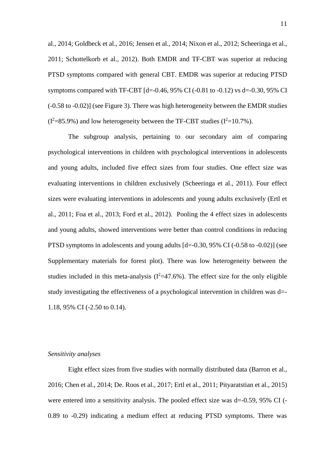al., 2014; Goldbeck et al., 2016; Jensen et al., 2014; Nixon et al., 2012; Scheeringa et al., 2011; Schottelkorb et al., 2012). Both EMDR and TF-CBT was superior at reducing PTSD symptoms compared with general CBT. EMDR was superior at reducing PTSD symptoms compared with TF-CBT  $[d=0.46, 95\% \text{ CI} (-0.81 \text{ to } -0.12) \text{ vs } d=-0.30, 95\% \text{ CI}$ (-0.58 to -0.02)] (see Figure 3). There was high heterogeneity between the EMDR studies  $(I^2=85.9\%)$  and low heterogeneity between the TF-CBT studies  $(I^2=10.7\%)$ .

The subgroup analysis, pertaining to our secondary aim of comparing psychological interventions in children with psychological interventions in adolescents and young adults, included five effect sizes from four studies. One effect size was evaluating interventions in children exclusively (Scheeringa et al., 2011). Four effect sizes were evaluating interventions in adolescents and young adults exclusively (Ertl et al., 2011; Foa et al., 2013; Ford et al., 2012). Pooling the 4 effect sizes in adolescents and young adults, showed interventions were better than control conditions in reducing PTSD symptoms in adolescents and young adults [d=-0.30, 95% CI (-0.58 to -0.02)] (see Supplementary materials for forest plot). There was low heterogeneity between the studies included in this meta-analysis  $(I^2=47.6\%)$ . The effect size for the only eligible study investigating the effectiveness of a psychological intervention in children was d=- 1.18, 95% CI (-2.50 to 0.14).

# *Sensitivity analyses*

Eight effect sizes from five studies with normally distributed data (Barron et al., 2016; Chen et al., 2014; De. Roos et al., 2017; Ertl et al., 2011; Pityaratstian et al., 2015) were entered into a sensitivity analysis. The pooled effect size was  $d=-0.59$ , 95% CI (-0.89 to -0.29) indicating a medium effect at reducing PTSD symptoms. There was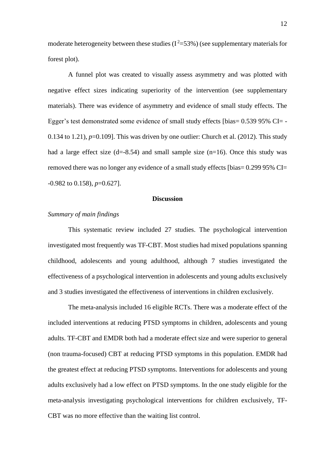moderate heterogeneity between these studies  $(I^2=53\%)$  (see supplementary materials for forest plot).

A funnel plot was created to visually assess asymmetry and was plotted with negative effect sizes indicating superiority of the intervention (see supplementary materials). There was evidence of asymmetry and evidence of small study effects. The Egger's test demonstrated some evidence of small study effects [bias= 0.539 95% CI= - 0.134 to 1.21),  $p=0.109$ . This was driven by one outlier: Church et al. (2012). This study had a large effect size  $(d=8.54)$  and small sample size  $(n=16)$ . Once this study was removed there was no longer any evidence of a small study effects [bias= 0.299 95% CI= -0.982 to 0.158), *p*=0.627].

#### **Discussion**

### *Summary of main findings*

This systematic review included 27 studies. The psychological intervention investigated most frequently was TF-CBT. Most studies had mixed populations spanning childhood, adolescents and young adulthood, although 7 studies investigated the effectiveness of a psychological intervention in adolescents and young adults exclusively and 3 studies investigated the effectiveness of interventions in children exclusively.

The meta-analysis included 16 eligible RCTs. There was a moderate effect of the included interventions at reducing PTSD symptoms in children, adolescents and young adults. TF-CBT and EMDR both had a moderate effect size and were superior to general (non trauma-focused) CBT at reducing PTSD symptoms in this population. EMDR had the greatest effect at reducing PTSD symptoms. Interventions for adolescents and young adults exclusively had a low effect on PTSD symptoms. In the one study eligible for the meta-analysis investigating psychological interventions for children exclusively, TF-CBT was no more effective than the waiting list control.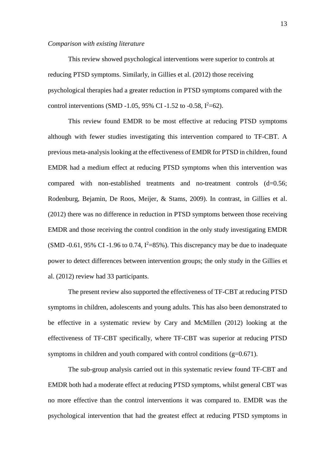#### *Comparison with existing literature*

This review showed psychological interventions were superior to controls at reducing PTSD symptoms. Similarly, in Gillies et al. (2012) those receiving psychological therapies had a greater reduction in PTSD symptoms compared with the control interventions (SMD -1.05, 95% CI -1.52 to -0.58,  $I^2=62$ ).

This review found EMDR to be most effective at reducing PTSD symptoms although with fewer studies investigating this intervention compared to TF-CBT. A previous meta-analysis looking at the effectiveness of EMDR for PTSD in children, found EMDR had a medium effect at reducing PTSD symptoms when this intervention was compared with non-established treatments and no-treatment controls (d=0.56; Rodenburg, Bejamin, De Roos, Meijer, & Stams, 2009). In contrast, in Gillies et al. (2012) there was no difference in reduction in PTSD symptoms between those receiving EMDR and those receiving the control condition in the only study investigating EMDR (SMD -0.61, 95% CI -1.96 to 0.74,  $I^2$ =85%). This discrepancy may be due to inadequate power to detect differences between intervention groups; the only study in the Gillies et al. (2012) review had 33 participants.

The present review also supported the effectiveness of TF-CBT at reducing PTSD symptoms in children, adolescents and young adults. This has also been demonstrated to be effective in a systematic review by Cary and McMillen (2012) looking at the effectiveness of TF-CBT specifically, where TF-CBT was superior at reducing PTSD symptoms in children and youth compared with control conditions  $(g=0.671)$ .

The sub-group analysis carried out in this systematic review found TF-CBT and EMDR both had a moderate effect at reducing PTSD symptoms, whilst general CBT was no more effective than the control interventions it was compared to. EMDR was the psychological intervention that had the greatest effect at reducing PTSD symptoms in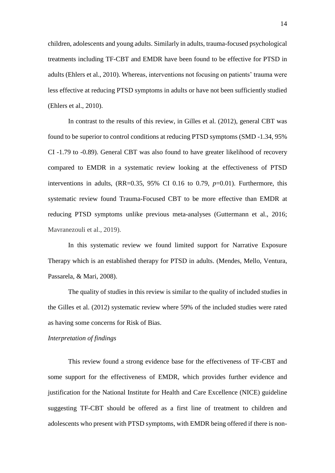children, adolescents and young adults. Similarly in adults, trauma-focused psychological treatments including TF-CBT and EMDR have been found to be effective for PTSD in adults (Ehlers et al., 2010). Whereas, interventions not focusing on patients' trauma were less effective at reducing PTSD symptoms in adults or have not been sufficiently studied (Ehlers et al., 2010).

In contrast to the results of this review, in Gilles et al. (2012), general CBT was found to be superior to control conditions at reducing PTSD symptoms (SMD -1.34, 95% CI -1.79 to -0.89). General CBT was also found to have greater likelihood of recovery compared to EMDR in a systematic review looking at the effectiveness of PTSD interventions in adults, (RR=0.35, 95% CI 0.16 to 0.79, *p*=0.01). Furthermore, this systematic review found Trauma-Focused CBT to be more effective than EMDR at reducing PTSD symptoms unlike previous meta-analyses (Guttermann et al., 2016; Mavranezouli et al., 2019).

In this systematic review we found limited support for Narrative Exposure Therapy which is an established therapy for PTSD in adults. (Mendes, Mello, Ventura, Passarela, & Mari, 2008).

The quality of studies in this review is similar to the quality of included studies in the Gilles et al. (2012) systematic review where 59% of the included studies were rated as having some concerns for Risk of Bias.

### *Interpretation of findings*

This review found a strong evidence base for the effectiveness of TF-CBT and some support for the effectiveness of EMDR, which provides further evidence and justification for the National Institute for Health and Care Excellence (NICE) guideline suggesting TF-CBT should be offered as a first line of treatment to children and adolescents who present with PTSD symptoms, with EMDR being offered if there is non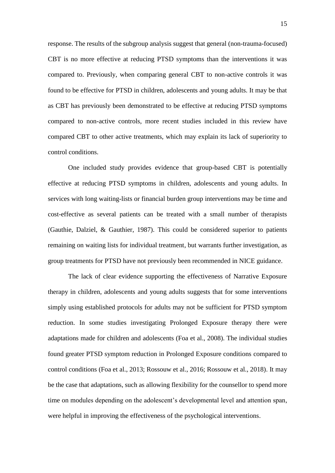response. The results of the subgroup analysis suggest that general (non-trauma-focused) CBT is no more effective at reducing PTSD symptoms than the interventions it was compared to. Previously, when comparing general CBT to non-active controls it was found to be effective for PTSD in children, adolescents and young adults. It may be that as CBT has previously been demonstrated to be effective at reducing PTSD symptoms compared to non-active controls, more recent studies included in this review have compared CBT to other active treatments, which may explain its lack of superiority to control conditions.

One included study provides evidence that group-based CBT is potentially effective at reducing PTSD symptoms in children, adolescents and young adults. In services with long waiting-lists or financial burden group interventions may be time and cost-effective as several patients can be treated with a small number of therapists (Gauthie, Dalziel, & Gauthier, 1987). This could be considered superior to patients remaining on waiting lists for individual treatment, but warrants further investigation, as group treatments for PTSD have not previously been recommended in NICE guidance.

The lack of clear evidence supporting the effectiveness of Narrative Exposure therapy in children, adolescents and young adults suggests that for some interventions simply using established protocols for adults may not be sufficient for PTSD symptom reduction. In some studies investigating Prolonged Exposure therapy there were adaptations made for children and adolescents (Foa et al., 2008). The individual studies found greater PTSD symptom reduction in Prolonged Exposure conditions compared to control conditions (Foa et al., 2013; Rossouw et al., 2016; Rossouw et al., 2018). It may be the case that adaptations, such as allowing flexibility for the counsellor to spend more time on modules depending on the adolescent's developmental level and attention span, were helpful in improving the effectiveness of the psychological interventions.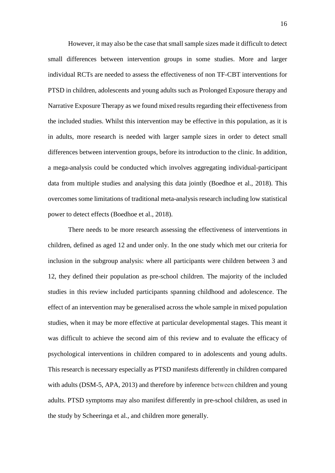However, it may also be the case that small sample sizes made it difficult to detect small differences between intervention groups in some studies. More and larger individual RCTs are needed to assess the effectiveness of non TF-CBT interventions for PTSD in children, adolescents and young adults such as Prolonged Exposure therapy and Narrative Exposure Therapy as we found mixed results regarding their effectiveness from the included studies. Whilst this intervention may be effective in this population, as it is in adults, more research is needed with larger sample sizes in order to detect small differences between intervention groups, before its introduction to the clinic. In addition, a mega-analysis could be conducted which involves aggregating individual-participant data from multiple studies and analysing this data jointly (Boedhoe et al., 2018). This overcomes some limitations of traditional meta-analysis research including low statistical power to detect effects (Boedhoe et al., 2018).

There needs to be more research assessing the effectiveness of interventions in children, defined as aged 12 and under only. In the one study which met our criteria for inclusion in the subgroup analysis: where all participants were children between 3 and 12, they defined their population as pre-school children. The majority of the included studies in this review included participants spanning childhood and adolescence. The effect of an intervention may be generalised across the whole sample in mixed population studies, when it may be more effective at particular developmental stages. This meant it was difficult to achieve the second aim of this review and to evaluate the efficacy of psychological interventions in children compared to in adolescents and young adults. This research is necessary especially as PTSD manifests differently in children compared with adults (DSM-5, APA, 2013) and therefore by inference between children and young adults. PTSD symptoms may also manifest differently in pre-school children, as used in the study by Scheeringa et al., and children more generally.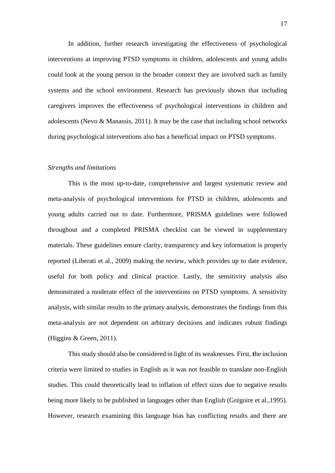In addition, further research investigating the effectiveness of psychological interventions at improving PTSD symptoms in children, adolescents and young adults could look at the young person in the broader context they are involved such as family systems and the school environment. Research has previously shown that including caregivers improves the effectiveness of psychological interventions in children and adolescents (Nevo  $\&$  Manassis, 2011). It may be the case that including school networks during psychological interventions also has a beneficial impact on PTSD symptoms.

#### *Strengths and limitations*

This is the most up-to-date, comprehensive and largest systematic review and meta-analysis of psychological interventions for PTSD in children, adolescents and young adults carried out to date. Furthermore, PRISMA guidelines were followed throughout and a completed PRISMA checklist can be viewed in supplementary materials. These guidelines ensure clarity, transparency and key information is properly reported (Liberati et al., 2009) making the review, which provides up to date evidence, useful for both policy and clinical practice. Lastly, the sensitivity analysis also demonstrated a moderate effect of the interventions on PTSD symptoms. A sensitivity analysis, with similar results to the primary analysis, demonstrates the findings from this meta-analysis are not dependent on arbitrary decisions and indicates robust findings (Higgins & Green, 2011).

This study should also be considered in light of its weaknesses. First, **t**he inclusion criteria were limited to studies in English as it was not feasible to translate non-English studies. This could theoretically lead to inflation of effect sizes due to negative results being more likely to be published in languages other than English (Grégoire et al.,1995). However, research examining this language bias has conflicting results and there are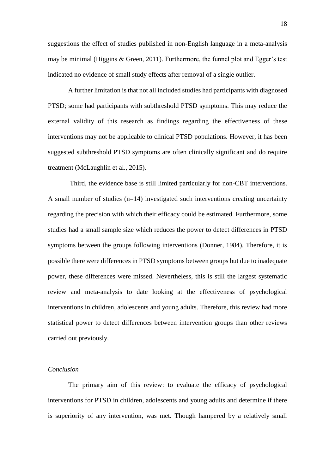suggestions the effect of studies published in non-English language in a meta-analysis may be minimal (Higgins & Green, 2011). Furthermore, the funnel plot and Egger's test indicated no evidence of small study effects after removal of a single outlier.

A further limitation is that not all included studies had participants with diagnosed PTSD; some had participants with subthreshold PTSD symptoms. This may reduce the external validity of this research as findings regarding the effectiveness of these interventions may not be applicable to clinical PTSD populations. However, it has been suggested subthreshold PTSD symptoms are often clinically significant and do require treatment (McLaughlin et al., 2015).

Third, the evidence base is still limited particularly for non-CBT interventions. A small number of studies (n=14) investigated such interventions creating uncertainty regarding the precision with which their efficacy could be estimated. Furthermore, some studies had a small sample size which reduces the power to detect differences in PTSD symptoms between the groups following interventions (Donner, 1984). Therefore, it is possible there were differences in PTSD symptoms between groups but due to inadequate power, these differences were missed. Nevertheless, this is still the largest systematic review and meta-analysis to date looking at the effectiveness of psychological interventions in children, adolescents and young adults. Therefore, this review had more statistical power to detect differences between intervention groups than other reviews carried out previously.

#### *Conclusion*

The primary aim of this review: to evaluate the efficacy of psychological interventions for PTSD in children, adolescents and young adults and determine if there is superiority of any intervention, was met. Though hampered by a relatively small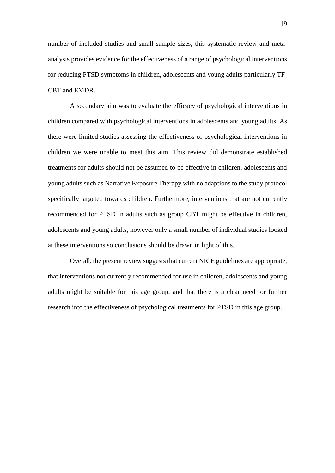number of included studies and small sample sizes, this systematic review and metaanalysis provides evidence for the effectiveness of a range of psychological interventions for reducing PTSD symptoms in children, adolescents and young adults particularly TF-CBT and EMDR.

A secondary aim was to evaluate the efficacy of psychological interventions in children compared with psychological interventions in adolescents and young adults. As there were limited studies assessing the effectiveness of psychological interventions in children we were unable to meet this aim. This review did demonstrate established treatments for adults should not be assumed to be effective in children, adolescents and young adults such as Narrative Exposure Therapy with no adaptions to the study protocol specifically targeted towards children. Furthermore, interventions that are not currently recommended for PTSD in adults such as group CBT might be effective in children, adolescents and young adults, however only a small number of individual studies looked at these interventions so conclusions should be drawn in light of this.

Overall, the present review suggests that current NICE guidelines are appropriate, that interventions not currently recommended for use in children, adolescents and young adults might be suitable for this age group, and that there is a clear need for further research into the effectiveness of psychological treatments for PTSD in this age group.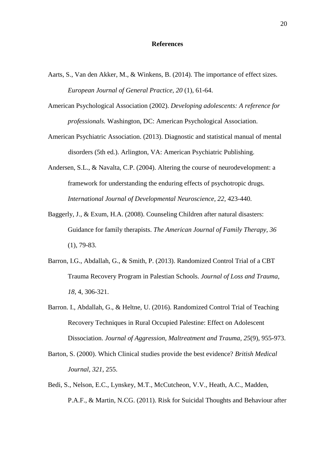#### **References**

- Aarts, S., Van den Akker, M., & Winkens, B. (2014). The importance of effect sizes. *European Journal of General Practice, 20* (1), 61-64.
- American Psychological Association (2002). *Developing adolescents: A reference for professionals.* Washington, DC: American Psychological Association.
- American Psychiatric Association. (2013). Diagnostic and statistical manual of mental disorders (5th ed.). Arlington, VA: American Psychiatric Publishing.
- Andersen, S.L., & Navalta, C.P. (2004). Altering the course of neurodevelopment: a framework for understanding the enduring effects of psychotropic drugs. *International Journal of Developmental Neuroscience, 22,* 423-440.
- Baggerly, J., & Exum, H.A. (2008). Counseling Children after natural disasters: Guidance for family therapists. *The American Journal of Family Therapy, 36* (1), 79-83.
- Barron, I.G., Abdallah, G., & Smith, P. (2013). Randomized Control Trial of a CBT Trauma Recovery Program in Palestian Schools. *Journal of Loss and Trauma, 18,* 4, 306-321.
- Barron. I., Abdallah, G., & Heltne, U. (2016). Randomized Control Trial of Teaching Recovery Techniques in Rural Occupied Palestine: Effect on Adolescent Dissociation. *Journal of Aggression, Maltreatment and Trauma, 25*(9), 955-973.
- Barton, S. (2000). Which Clinical studies provide the best evidence? *British Medical Journal, 321*, 255.
- Bedi, S., Nelson, E.C., Lynskey, M.T., McCutcheon, V.V., Heath, A.C., Madden, P.A.F., & Martin, N.CG. (2011). Risk for Suicidal Thoughts and Behaviour after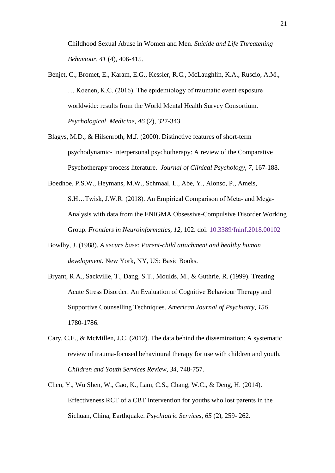Childhood Sexual Abuse in Women and Men. *Suicide and Life Threatening Behaviour, 41* (4), 406-415.

- Benjet, C., Bromet, E., Karam, E.G., Kessler, R.C., McLaughlin, K.A., Ruscio, A.M., … Koenen, K.C. (2016). The epidemiology of traumatic event exposure worldwide: results from the World Mental Health Survey Consortium. *Psychological Medicine, 46* (2), 327-343.
- Blagys, M.D., & Hilsenroth, M.J. (2000). Distinctive features of short-term psychodynamic- interpersonal psychotherapy: A review of the Comparative Psychotherapy process literature. *Journal of Clinical Psychology, 7,* 167-188.
- Boedhoe, P.S.W., Heymans, M.W., Schmaal, L., Abe, Y., Alonso, P., Ameis, S.H…Twisk, J.W.R. (2018). An Empirical Comparison of Meta- and Mega-Analysis with data from the ENIGMA Obsessive-Compulsive Disorder Working Group. *Frontiers in Neuroinformatics, 12,* 102. doi: [10.3389/fninf.2018.00102](https://dx.doi.org/10.3389%2Ffninf.2018.00102)
- Bowlby, J. (1988). *A secure base: Parent-child attachment and healthy human development.* New York, NY, US: Basic Books.
- Bryant, R.A., Sackville, T., Dang, S.T., Moulds, M., & Guthrie, R. (1999). Treating Acute Stress Disorder: An Evaluation of Cognitive Behaviour Therapy and Supportive Counselling Techniques. *American Journal of Psychiatry, 156,* 1780-1786.
- Cary, C.E., & McMillen, J.C. (2012). The data behind the dissemination: A systematic review of trauma-focused behavioural therapy for use with children and youth. *Children and Youth Services Review, 34,* 748-757.
- Chen, Y., Wu Shen, W., Gao, K., Lam, C.S., Chang, W.C., & Deng, H. (2014). Effectiveness RCT of a CBT Intervention for youths who lost parents in the Sichuan, China, Earthquake. *Psychiatric Services, 65* (2), 259- 262.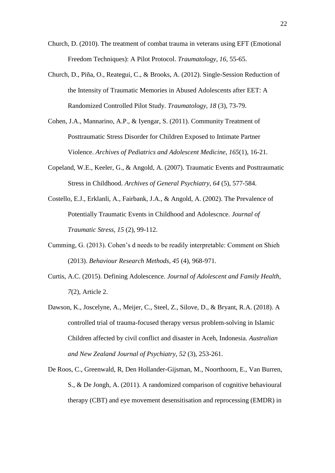- Church, D. (2010). The treatment of combat trauma in veterans using EFT (Emotional Freedom Techniques): A Pilot Protocol. *Traumatology, 16,* 55-65.
- Church, D., Piña, O., Reategui, C., & Brooks, A. (2012). Single-Session Reduction of the Intensity of Traumatic Memories in Abused Adolescents after EET: A Randomized Controlled Pilot Study. *Traumatology, 18* (3), 73-79.
- Cohen, J.A., Mannarino, A.P., & Iyengar, S. (2011). Community Treatment of Posttraumatic Stress Disorder for Children Exposed to Intimate Partner Violence. *Archives of Pediatrics and Adolescent Medicine, 165*(1), 16-21.
- Copeland, W.E., Keeler, G., & Angold, A. (2007). Traumatic Events and Posttraumatic Stress in Childhood. *Archives of General Psychiatry, 64* (5), 577-584.
- Costello, E.J., Erklanli, A., Fairbank, J.A., & Angold, A. (2002). The Prevalence of Potentially Traumatic Events in Childhood and Adolescnce. *Journal of Traumatic Stress, 15* (2), 99-112.
- Cumming, G. (2013). Cohen's d needs to be readily interpretable: Comment on Shieh (2013). *Behaviour Research Methods, 45* (4), 968-971.
- Curtis, A.C. (2015). Defining Adolescence. *Journal of Adolescent and Family Health, 7*(2), Article 2.
- Dawson, K., Joscelyne, A., Meijer, C., Steel, Z., Silove, D., & Bryant, R.A. (2018). A controlled trial of trauma-focused therapy versus problem-solving in Islamic Children affected by civil conflict and disaster in Aceh, Indonesia. *Australian and New Zealand Journal of Psychiatry, 52* (3), 253-261.
- De Roos, C., Greenwald, R, Den Hollander-Gijsman, M., Noorthoorn, E., Van Burren, S., & De Jongh, A. (2011). A randomized comparison of cognitive behavioural therapy (CBT) and eye movement desensitisation and reprocessing (EMDR) in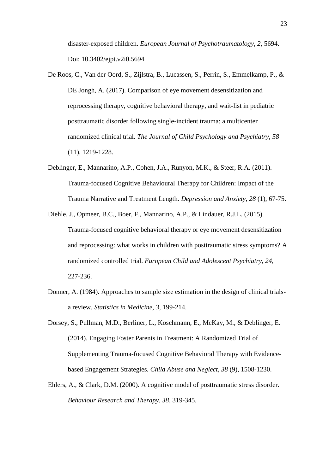disaster-exposed children. *European Journal of Psychotraumatology, 2,* 5694. Doi: 10.3402/ejpt.v2i0.5694

- De Roos, C., Van der Oord, S., Zijlstra, B., Lucassen, S., Perrin, S., Emmelkamp, P., & DE Jongh, A. (2017). Comparison of eye movement desensitization and reprocessing therapy, cognitive behavioral therapy, and wait-list in pediatric posttraumatic disorder following single-incident trauma: a multicenter randomized clinical trial. *The Journal of Child Psychology and Psychiatry, 58*  (11), 1219-1228.
- Deblinger, E., Mannarino, A.P., Cohen, J.A., Runyon, M.K., & Steer, R.A. (2011). Trauma-focused Cognitive Behavioural Therapy for Children: Impact of the Trauma Narrative and Treatment Length. *Depression and Anxiety, 28* (1), 67-75.
- Diehle, J., Opmeer, B.C., Boer, F., Mannarino, A.P., & Lindauer, R.J.L. (2015). Trauma-focused cognitive behavioral therapy or eye movement desensitization and reprocessing: what works in children with posttraumatic stress symptoms? A randomized controlled trial. *European Child and Adolescent Psychiatry, 24,*  227-236.
- Donner, A. (1984). Approaches to sample size estimation in the design of clinical trialsa review. *Statistics in Medicine, 3,* 199-214.
- Dorsey, S., Pullman, M.D., Berliner, L., Koschmann, E., McKay, M., & Deblinger, E. (2014). Engaging Foster Parents in Treatment: A Randomized Trial of Supplementing Trauma-focused Cognitive Behavioral Therapy with Evidencebased Engagement Strategies*. Child Abuse and Neglect, 38* (9), 1508-1230.
- Ehlers, A., & Clark, D.M. (2000). A cognitive model of posttraumatic stress disorder. *Behaviour Research and Therapy, 38,* 319-345.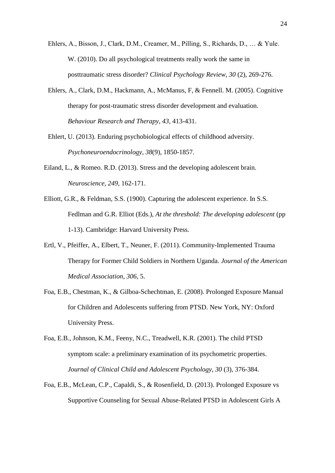- Ehlers, A., Bisson, J., Clark, D.M., Creamer, M., Pilling, S., Richards, D., … & Yule. W. (2010). Do all psychological treatments really work the same in posttraumatic stress disorder? *Clinical Psychology Review, 30* (2), 269-276.
- Ehlers, A., Clark, D.M., Hackmann, A., McManus, F, & Fennell. M. (2005). Cognitive therapy for post-traumatic stress disorder development and evaluation. *Behaviour Research and Therapy, 43,* 413-431.
- Ehlert, U. (2013). Enduring psychobiological effects of childhood adversity. *Psychoneuroendocrinology, 38*(9), 1850-1857.
- Eiland, L., & Romeo. R.D. (2013). Stress and the developing adolescent brain. *Neuroscience, 249,* 162-171.
- Elliott, G.R., & Feldman, S.S. (1900). Capturing the adolescent experience. In S.S. Fedlman and G.R. Elliot (Eds.), *At the threshold: The developing adolescent* (pp 1-13). Cambridge: Harvard University Press.
- Ertl, V., Pfeiffer, A., Elbert, T., Neuner, F. (2011). Community-Implemented Trauma Therapy for Former Child Soldiers in Northern Uganda. *Journal of the American Medical Association, 306,* 5.
- Foa, E.B., Chestman, K., & Gilboa-Schechtman, E. (2008). Prolonged Exposure Manual for Children and Adolescents suffering from PTSD. New York, NY: Oxford University Press.
- Foa, E.B., Johnson, K.M., Feeny, N.C., Treadwell, K.R. (2001). The child PTSD symptom scale: a preliminary examination of its psychometric properties. *Journal of Clinical Child and Adolescent Psychology, 30* (3), 376-384.
- Foa, E.B., McLean, C.P., Capaldi, S., & Rosenfield, D. (2013). Prolonged Exposure vs Supportive Counseling for Sexual Abuse-Related PTSD in Adolescent Girls A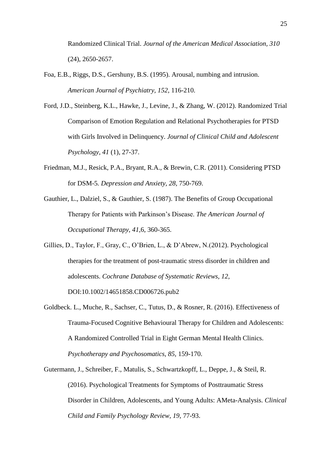Randomized Clinical Trial. *Journal of the American Medical Association, 310* (24), 2650-2657.

- Foa, E.B., Riggs, D.S., Gershuny, B.S. (1995). Arousal, numbing and intrusion. *American Journal of Psychiatry, 152,* 116-210.
- Ford, J.D., Steinberg, K.L., Hawke, J., Levine, J., & Zhang, W. (2012). Randomized Trial Comparison of Emotion Regulation and Relational Psychotherapies for PTSD with Girls Involved in Delinquency. *Journal of Clinical Child and Adolescent Psychology, 41* (1), 27-37.
- Friedman, M.J., Resick, P.A., Bryant, R.A., & Brewin, C.R. (2011). Considering PTSD for DSM-5*. Depression and Anxiety, 28,* 750-769.
- Gauthier, L., Dalziel, S., & Gauthier, S. (1987). The Benefits of Group Occupational Therapy for Patients with Parkinson's Disease. *The American Journal of Occupational Therapy, 41,*6, 360-365.
- Gillies, D., Taylor, F., Gray, C., O'Brien, L., & D'Abrew, N.(2012). Psychological therapies for the treatment of post-traumatic stress disorder in children and adolescents. *Cochrane Database of Systematic Reviews, 12,*  DOI:10.1002/14651858.CD006726.pub2
- Goldbeck. L., Muche, R., Sachser, C., Tutus, D., & Rosner, R. (2016). Effectiveness of Trauma-Focused Cognitive Behavioural Therapy for Children and Adolescents: A Randomized Controlled Trial in Eight German Mental Health Clinics. *Psychotherapy and Psychosomatics, 85,* 159-170.
- Gutermann, J., Schreiber, F., Matulis, S., Schwartzkopff, L., Deppe, J., & Steil, R. (2016). Psychological Treatments for Symptoms of Posttraumatic Stress Disorder in Children, Adolescents, and Young Adults: AMeta-Analysis. *Clinical Child and Family Psychology Review, 19,* 77-93.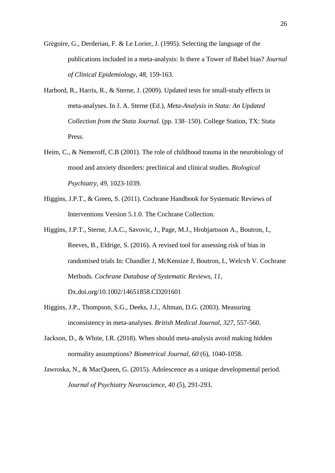Grégoire, G., Derderian, F. & Le Lorier, J. (1995). Selecting the language of the publications included in a meta-analysis: Is there a Tower of Babel bias? *Journal of Clinical Epidemiology, 48,* 159-163.

- Harbord, R., Harris, R., & Sterne, J. (2009). Updated tests for small-study effects in meta-analyses. In J. A. Sterne (Ed.), *Meta-Analysis in Stata: An Updated Collection from the Stata Journal.* (pp. 138–150). College Station, TX: Stata Press.
- Heim, C., & Nemeroff, C.B (2001). The role of childhood trauma in the neurobiology of mood and anxiety disorders: preclinical and clinical studies. *Biological Psychiatry, 49,* 1023-1039.
- Higgins, J.P.T., & Green, S. (2011). Cochrane Handbook for Systematic Reviews of Interventions Version 5.1.0. The Cochrane Collection.
- Higgins, J.P.T., Sterne, J.A.C., Savovic, J., Page, M.J., Hrobjartsson A., Boutron, I., Reeves, B., Eldrige, S. (2016). A revised tool for assessing risk of bias in randomised trials In: Chandler J, McKensize J, Boutron, I., Welcvh V. Cochrane Methods. *Cochrane Database of Systematic Reviews, 11,* Dx.doi.org/10.1002/14651858.CD201601
- Higgins, J.P., Thompson, S.G., Deeks, J.J., Altman, D.G. (2003). Measuring inconsistency in meta-analyses. *British Medical Journal, 327,* 557-560.
- Jackson, D., & White, I.R. (2018). When should meta-analysis avoid making hidden normality assumptions? *Biometrical Journal, 60* (6), 1040-1058.

Jawroska, N., & MacQueen, G. (2015). Adolescence as a unique developmental period. *Journal of Psychiatry Neuroscience, 40* (5), 291-293.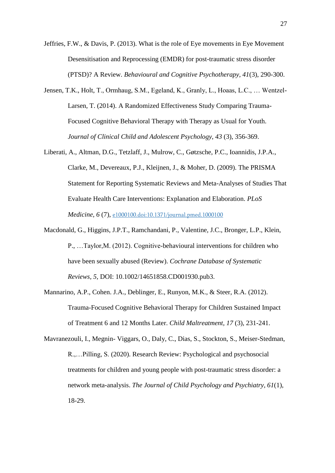Jeffries, F.W., & Davis, P. (2013). What is the role of Eye movements in Eye Movement Desensitisation and Reprocessing (EMDR) for post-traumatic stress disorder (PTSD)? A Review. *Behavioural and Cognitive Psychotherapy, 41*(3), 290-300.

- Jensen, T.K., Holt, T., Ormhaug, S.M., Egeland, K., Granly, L., Hoaas, L.C., … Wentzel-Larsen, T. (2014). A Randomized Effectiveness Study Comparing Trauma-Focused Cognitive Behavioral Therapy with Therapy as Usual for Youth. *Journal of Clinical Child and Adolescent Psychology, 43* (3), 356-369.
- Liberati, A., Altman, D.G., Tetzlaff, J., Mulrow, C., Gøtzsche, P.C., Ioannidis, J.P.A., Clarke, M., Devereaux, P.J., Kleijnen, J., & Moher, D. (2009). The PRISMA Statement for Reporting Systematic Reviews and Meta-Analyses of Studies That Evaluate Health Care Interventions: Explanation and Elaboration. *PLoS Medicine, 6* (7), [e1000100.doi:10.1371/journal.pmed.1000100](http://www.plosmedicine.org/article/info:doi/10.1371/journal.pmed.1000100)
- Macdonald, G., Higgins, J.P.T., Ramchandani, P., Valentine, J.C., Bronger, L.P., Klein, P., …Taylor,M. (2012). Cognitive-behavioural interventions for children who have been sexually abused (Review). *Cochrane Database of Systematic Reviews, 5,* DOI: 10.1002/14651858.CD001930.pub3.
- Mannarino, A.P., Cohen. J.A., Deblinger, E., Runyon, M.K., & Steer, R.A. (2012). Trauma-Focused Cognitive Behavioral Therapy for Children Sustained Impact of Treatment 6 and 12 Months Later. *Child Maltreatment, 17* (3), 231-241.
- Mavranezouli, I., Megnin- Viggars, O., Daly, C., Dias, S., Stockton, S., Meiser-Stedman, R.,…Pilling, S. (2020). Research Review: Psychological and psychosocial treatments for children and young people with post-traumatic stress disorder: a network meta-analysis. *The Journal of Child Psychology and Psychiatry, 61*(1), 18-29.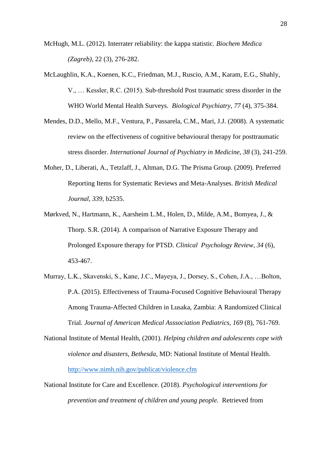McHugh, M.L. (2012). Interrater reliability: the kappa statistic. *Biochem Medica (Zagreb),* 22 (3), 276-282.

- McLaughlin, K.A., Koenen, K.C., Friedman, M.J., Ruscio, A.M., Karam, E.G., Shahly, V., … Kessler, R.C. (2015). Sub-threshold Post traumatic stress disorder in the WHO World Mental Health Surveys. *Biological Psychiatry, 77* (4), 375-384.
- Mendes, D.D., Mello, M.F., Ventura, P., Passarela, C.M., Mari, J.J. (2008). A systematic review on the effectiveness of cognitive behavioural therapy for posttraumatic stress disorder. *International Journal of Psychiatry in Medicine, 38* (3), 241-259.
- Moher, D., Liberati, A., Tetzlaff, J., Altman, D.G. The Prisma Group. (2009). Preferred Reporting Items for Systematic Reviews and Meta-Analyses. *British Medical Journal, 339,* b2535.
- Mørkved, N., Hartmann, K., Aarsheim L.M., Holen, D., Milde, A.M., Bomyea, J., & Thorp. S.R. (2014). A comparison of Narrative Exposure Therapy and Prolonged Exposure therapy for PTSD. *Clinical Psychology Review, 34* (6), 453-467.
- Murray, L.K., Skavenski, S., Kane, J.C., Mayeya, J., Dorsey, S., Cohen, J.A., …Bolton, P.A. (2015). Effectiveness of Trauma-Focused Cognitive Behavioural Therapy Among Trauma-Affected Children in Lusaka, Zambia: A Randomized Clinical Trial*. Journal of American Medical Asssociation Pediatrics, 169* (8), 761-769.
- National Institute of Mental Health, (2001). *Helping children and adolescents cope with violence and disasters, Bethesda,* MD: National Institute of Mental Health. <http://www.nimh.nih.gov/publicat/violence.cfm>
- National Institute for Care and Excellence. (2018). *Psychological interventions for prevention and treatment of children and young people.* Retrieved from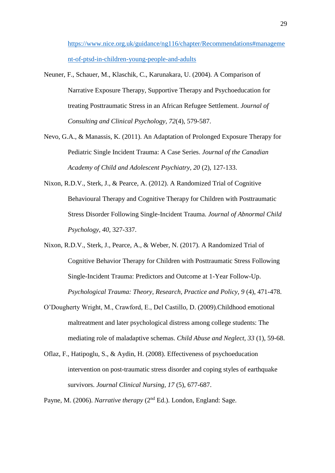[https://www.nice.org.uk/guidance/ng116/chapter/Recommendations#manageme](https://www.nice.org.uk/guidance/ng116/chapter/Recommendations#management-of-ptsd-in-children-young-people-and-adults) [nt-of-ptsd-in-children-young-people-and-adults](https://www.nice.org.uk/guidance/ng116/chapter/Recommendations#management-of-ptsd-in-children-young-people-and-adults)

- Neuner, F., Schauer, M., Klaschik, C., Karunakara, U. (2004). A Comparison of Narrative Exposure Therapy, Supportive Therapy and Psychoeducation for treating Posttraumatic Stress in an African Refugee Settlement. *Journal of Consulting and Clinical Psychology, 72*(4), 579-587.
- Nevo, G.A., & Manassis, K. (2011). An Adaptation of Prolonged Exposure Therapy for Pediatric Single Incident Trauma: A Case Series. *Journal of the Canadian Academy of Child and Adolescent Psychiatry, 20* (2), 127-133.
- Nixon, R.D.V., Sterk, J., & Pearce, A. (2012). A Randomized Trial of Cognitive Behavioural Therapy and Cognitive Therapy for Children with Posttraumatic Stress Disorder Following Single-Incident Trauma. *Journal of Abnormal Child Psychology, 40*, 327-337.
- Nixon, R.D.V., Sterk, J., Pearce, A., & Weber, N. (2017). A Randomized Trial of Cognitive Behavior Therapy for Children with Posttraumatic Stress Following Single-Incident Trauma: Predictors and Outcome at 1-Year Follow-Up. *Psychological Trauma: Theory, Research, Practice and Policy, 9* (4), 471-478.
- O'Dougherty Wright, M., Crawford, E., Del Castillo, D. (2009).Childhood emotional maltreatment and later psychological distress among college students: The mediating role of maladaptive schemas. *Child Abuse and Neglect, 33* (1), 59-68.
- Oflaz, F., Hatipoglu, S., & Aydin, H. (2008). Effectiveness of psychoeducation intervention on post-traumatic stress disorder and coping styles of earthquake survivors. *Journal Clinical Nursing, 17* (5), 677-687.

Payne, M. (2006). *Narrative therapy* (2<sup>nd</sup> Ed.). London, England: Sage.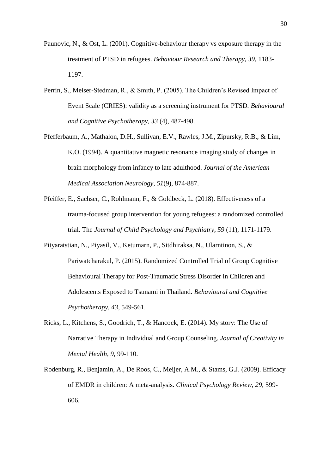- Paunovic, N., & Ost, L. (2001). Cognitive-behaviour therapy vs exposure therapy in the treatment of PTSD in refugees. *Behaviour Research and Therapy, 39,* 1183- 1197.
- Perrin, S., Meiser-Stedman, R., & Smith, P. (2005). The Children's Revised Impact of Event Scale (CRIES): validity as a screening instrument for PTSD*. Behavioural and Cognitive Psychotherapy, 33* (4), 487-498.
- Pfefferbaum, A., Mathalon, D.H., Sullivan, E.V., Rawles, J.M., Zipursky, R.B., & Lim, K.O. (1994). A quantitative magnetic resonance imaging study of changes in brain morphology from infancy to late adulthood. *Journal of the American Medical Association Neurology, 51*(9), 874-887.
- Pfeiffer, E., Sachser, C., Rohlmann, F., & Goldbeck, L. (2018). Effectiveness of a trauma-focused group intervention for young refugees: a randomized controlled trial. The *Journal of Child Psychology and Psychiatry, 59* (11), 1171-1179.
- Pityaratstian, N., Piyasil, V., Ketumarn, P., Sitdhiraksa, N., Ularntinon, S., & Pariwatcharakul, P. (2015). Randomized Controlled Trial of Group Cognitive Behavioural Therapy for Post-Traumatic Stress Disorder in Children and Adolescents Exposed to Tsunami in Thailand. *Behavioural and Cognitive Psychotherapy, 43*, 549-561.
- Ricks, L., Kitchens, S., Goodrich, T., & Hancock, E. (2014). My story: The Use of Narrative Therapy in Individual and Group Counseling. *Journal of Creativity in Mental Health, 9,* 99-110.
- Rodenburg, R., Benjamin, A., De Roos, C., Meijer, A.M., & Stams, G.J. (2009). Efficacy of EMDR in children: A meta-analysis. *Clinical Psychology Review, 29*, 599- 606.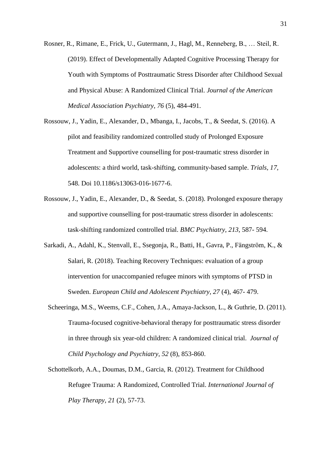- Rosner, R., Rimane, E., Frick, U., Gutermann, J., Hagl, M., Renneberg, B., … Steil, R. (2019). Effect of Developmentally Adapted Cognitive Processing Therapy for Youth with Symptoms of Posttraumatic Stress Disorder after Childhood Sexual and Physical Abuse: A Randomized Clinical Trial. *Journal of the American Medical Association Psychiatry, 76* (5), 484-491.
- Rossouw, J., Yadin, E., Alexander, D., Mbanga, I., Jacobs, T., & Seedat, S. (2016). A pilot and feasibility randomized controlled study of Prolonged Exposure Treatment and Supportive counselling for post-traumatic stress disorder in adolescents: a third world, task-shifting, community-based sample. *Trials, 17,*  548. Doi 10.1186/s13063-016-1677-6.
- Rossouw, J., Yadin, E., Alexander, D., & Seedat, S. (2018). Prolonged exposure therapy and supportive counselling for post-traumatic stress disorder in adolescents: task-shifting randomized controlled trial. *BMC Psychiatry, 213*, 587- 594.
- Sarkadi, A., Adahl, K., Stenvall, E., Ssegonja, R., Batti, H., Gavra, P., Fängström, K., & Salari, R. (2018). Teaching Recovery Techniques: evaluation of a group intervention for unaccompanied refugee minors with symptoms of PTSD in Sweden. *European Child and Adolescent Psychiatry, 27* (4), 467- 479.
- Scheeringa, M.S., Weems, C.F., Cohen, J.A., Amaya-Jackson, L., & Guthrie, D. (2011). Trauma-focused cognitive-behavioral therapy for posttraumatic stress disorder in three through six year-old children: A randomized clinical trial. *Journal of Child Psychology and Psychiatry, 52* (8), 853-860.
- Schottelkorb, A.A., Doumas, D.M., Garcia, R. (2012). Treatment for Childhood Refugee Trauma: A Randomized, Controlled Trial. *International Journal of Play Therapy, 21* (2), 57-73.